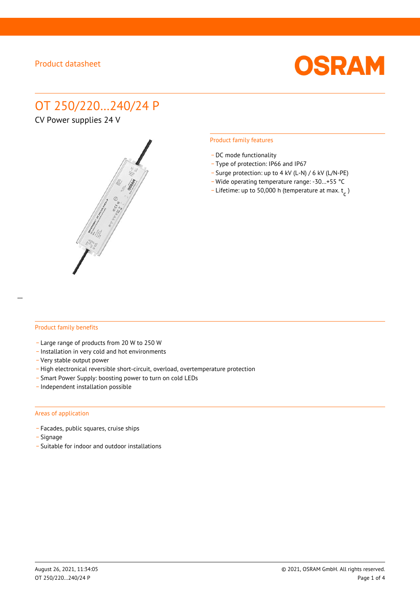

# OT 250/220…240/24 P

CV Power supplies 24 V



#### Product family features

- DC mode functionality
- \_ Type of protection: IP66 and IP67
- \_ Surge protection: up to 4 kV (L-N) / 6 kV (L/N-PE)
- Wide operating temperature range: -30...+55 °C
- Lifetime: up to 50,000 h (temperature at max.  $t_c$ )

#### Product family benefits

- \_ Large range of products from 20 W to 250 W
- \_ Installation in very cold and hot environments
- \_ Very stable output power
- High electronical reversible short-circuit, overload, overtemperature protection
- \_ Smart Power Supply: boosting power to turn on cold LEDs
- \_ Independent installation possible

#### Areas of application

- \_ Facades, public squares, cruise ships
- \_ Signage
- \_ Suitable for indoor and outdoor installations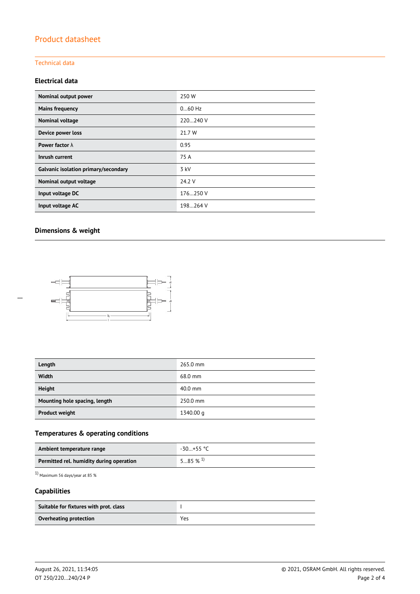## Product datasheet

## Technical data

### **Electrical data**

| Nominal output power                 | 250W      |  |  |
|--------------------------------------|-----------|--|--|
| <b>Mains frequency</b>               | $060$ Hz  |  |  |
| Nominal voltage                      | 220240 V  |  |  |
| Device power loss                    | 21.7 W    |  |  |
| Power factor $\lambda$               | 0.95      |  |  |
| Inrush current                       | 75 A      |  |  |
| Galvanic isolation primary/secondary | 3 kV      |  |  |
| Nominal output voltage               | 24.2 V    |  |  |
| Input voltage DC                     | 176250 V  |  |  |
| Input voltage AC                     | 198.264 V |  |  |

## **Dimensions & weight**

 $\overline{a}$ 



| Length                        | 265.0 mm  |
|-------------------------------|-----------|
| Width                         | 68.0 mm   |
| <b>Height</b>                 | $40.0$ mm |
| Mounting hole spacing, length | 250.0 mm  |
| <b>Product weight</b>         | 1340.00 g |

## **Temperatures & operating conditions**

| Ambient temperature range                | -30…+55 °C            |
|------------------------------------------|-----------------------|
| Permitted rel. humidity during operation | $585\%$ <sup>1)</sup> |

1) Maximum 56 days/year at 85 %

## **Capabilities**

| Suitable for fixtures with prot. class |     |
|----------------------------------------|-----|
| Overheating protection                 | Yes |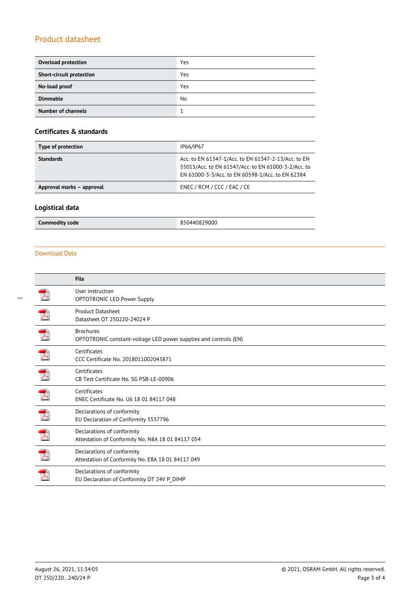## Product datasheet

| <b>Overload protection</b>      | Yes |
|---------------------------------|-----|
| <b>Short-circuit protection</b> | Yes |
| No-load proof                   | Yes |
| <b>Dimmable</b>                 | No  |
| <b>Number of channels</b>       |     |

## **Certificates & standards**

| Type of protection        | IP66/IP67                                                                                                                                                      |
|---------------------------|----------------------------------------------------------------------------------------------------------------------------------------------------------------|
| <b>Standards</b>          | Acc. to EN 61347-1/Acc. to EN 61347-2-13/Acc. to EN<br>55015/Acc. to EN 61547/Acc. to EN 61000-3-2/Acc. to<br>EN 61000-3-3/Acc. to EN 60598-1/Acc. to EN 62384 |
| Approval marks - approval | ENEC / RCM / CCC / EAC / CE                                                                                                                                    |

## **Logistical data**

**Commodity code** 850440829000

#### Download Data

| File                                                                                 |
|--------------------------------------------------------------------------------------|
| User instruction<br><b>OPTOTRONIC LED Power Supply</b>                               |
| <b>Product Datasheet</b><br>Datasheet OT 250220-24024 P                              |
| <b>Brochures</b><br>OPTOTRONIC constant-voltage LED power supplies and controls (EN) |
| Certificates<br>CCC Certificate No. 2018011002043871                                 |
| Certificates<br>CB Test Certificate No. SG PSB-LE-00906                              |
| Certificates<br>ENEC Certificate No. U6 18 01 84117 048                              |
| Declarations of conformity<br>EU Declaration of Conformity 3537796                   |
| Declarations of conformity<br>Attestation of Conformity No. N8A 18 01 84117 054      |
| Declarations of conformity<br>Attestation of Conformity No. E8A 18 01 84117 049      |
| Declarations of conformity<br>EU Declaration of Conformity OT 24V P_DIMP             |